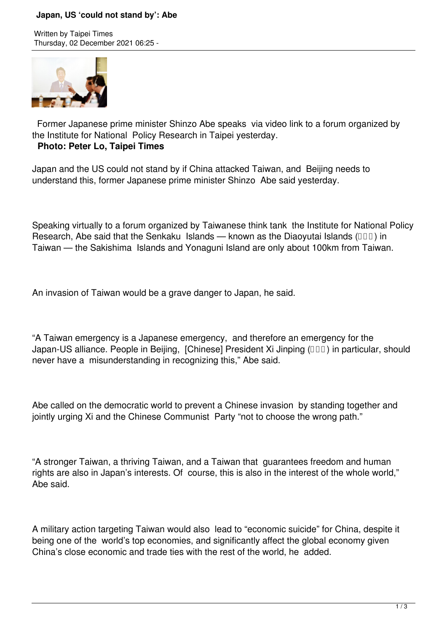## **Japan, US 'could not stand by': Abe**

Written by Taipei Times Thursday, 02 December 2021 06:25 -



 Former Japanese prime minister Shinzo Abe speaks via video link to a forum organized by the Institute for National Policy Research in Taipei yesterday.

## **Photo: Peter Lo, Taipei Times**

Japan and the US could not stand by if China attacked Taiwan, and Beijing needs to understand this, former Japanese prime minister Shinzo Abe said yesterday.

Speaking virtually to a forum organized by Taiwanese think tank the Institute for National Policy Research, Abe said that the Senkaku Islands — known as the Diaoyutai Islands ( $\Box$  $\Box$ ) in Taiwan — the Sakishima Islands and Yonaguni Island are only about 100km from Taiwan.

An invasion of Taiwan would be a grave danger to Japan, he said.

"A Taiwan emergency is a Japanese emergency, and therefore an emergency for the Japan-US alliance. People in Beijing, [Chinese] President Xi Jinping ( $\Box\Box$ ) in particular, should never have a misunderstanding in recognizing this," Abe said.

Abe called on the democratic world to prevent a Chinese invasion by standing together and jointly urging Xi and the Chinese Communist Party "not to choose the wrong path."

"A stronger Taiwan, a thriving Taiwan, and a Taiwan that guarantees freedom and human rights are also in Japan's interests. Of course, this is also in the interest of the whole world," Abe said.

A military action targeting Taiwan would also lead to "economic suicide" for China, despite it being one of the world's top economies, and significantly affect the global economy given China's close economic and trade ties with the rest of the world, he added.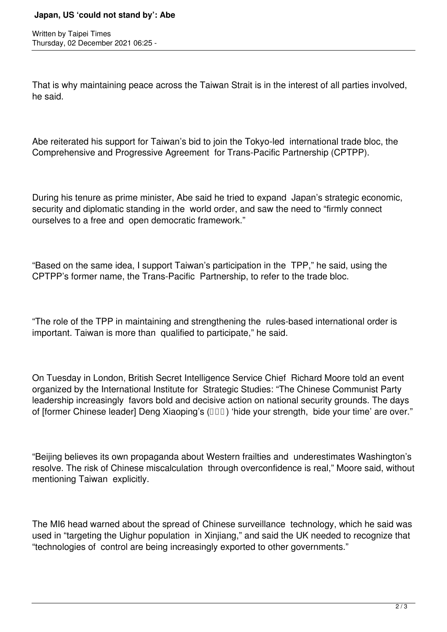## **Japan, US 'could not stand by': Abe**

Written by Taipei Times Thursday, 02 December 2021 06:25 -

That is why maintaining peace across the Taiwan Strait is in the interest of all parties involved, he said.

Abe reiterated his support for Taiwan's bid to join the Tokyo-led international trade bloc, the Comprehensive and Progressive Agreement for Trans-Pacific Partnership (CPTPP).

During his tenure as prime minister, Abe said he tried to expand Japan's strategic economic, security and diplomatic standing in the world order, and saw the need to "firmly connect ourselves to a free and open democratic framework."

"Based on the same idea, I support Taiwan's participation in the TPP," he said, using the CPTPP's former name, the Trans-Pacific Partnership, to refer to the trade bloc.

"The role of the TPP in maintaining and strengthening the rules-based international order is important. Taiwan is more than qualified to participate," he said.

On Tuesday in London, British Secret Intelligence Service Chief Richard Moore told an event organized by the International Institute for Strategic Studies: "The Chinese Communist Party leadership increasingly favors bold and decisive action on national security grounds. The days of [former Chinese leader] Deng Xiaoping's ( $\Box$  $\Box$ ) 'hide your strength, bide your time' are over."

"Beijing believes its own propaganda about Western frailties and underestimates Washington's resolve. The risk of Chinese miscalculation through overconfidence is real," Moore said, without mentioning Taiwan explicitly.

The MI6 head warned about the spread of Chinese surveillance technology, which he said was used in "targeting the Uighur population in Xinjiang," and said the UK needed to recognize that "technologies of control are being increasingly exported to other governments."